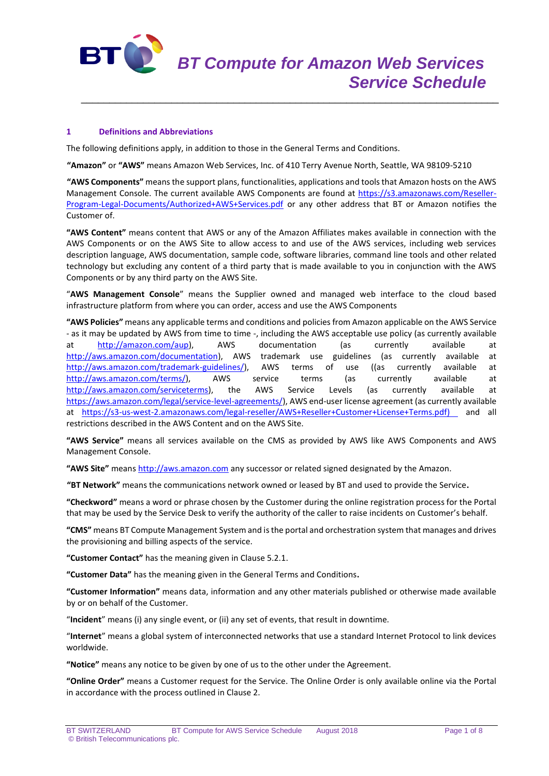

# **1 Definitions and Abbreviations**

The following definitions apply, in addition to those in the General Terms and Conditions.

**"Amazon"** or **"AWS"** means Amazon Web Services, Inc. of 410 Terry Avenue North, Seattle, WA 98109-5210

**"AWS Components"** means the support plans, functionalities, applications and tools that Amazon hosts on the AWS Management Console. The current available AWS Components are found at [https://s3.amazonaws.com/Reseller-](https://s3.amazonaws.com/Reseller-Program-Legal-Documents/Authorized+AWS+Services.pdf)[Program-Legal-Documents/Authorized+AWS+Services.pdf](https://s3.amazonaws.com/Reseller-Program-Legal-Documents/Authorized+AWS+Services.pdf) or any other address that BT or Amazon notifies the Customer of.

\_\_\_\_\_\_\_\_\_\_\_\_\_\_\_\_\_\_\_\_\_\_\_\_\_\_\_\_\_\_\_\_\_\_\_\_\_\_\_\_\_\_\_\_\_\_\_\_\_\_\_\_\_\_\_\_\_\_\_\_\_\_\_\_\_\_\_\_\_\_\_\_\_\_

**"AWS Content"** means content that AWS or any of the Amazon Affiliates makes available in connection with the AWS Components or on the AWS Site to allow access to and use of the AWS services, including web services description language, AWS documentation, sample code, software libraries, command line tools and other related technology but excluding any content of a third party that is made available to you in conjunction with the AWS Components or by any third party on the AWS Site.

"**AWS Management Console**" means the Supplier owned and managed web interface to the cloud based infrastructure platform from where you can order, access and use the AWS Components

**"AWS Policies"** means any applicable terms and conditions and policies from Amazon applicable on the AWS Service - as it may be updated by AWS from time to time -, including the AWS acceptable use policy (as currently available at [http://amazon.com/aup\)](http://amazon.com/aup), AWS documentation (as currently available at [http://aws.amazon.com/documentation\)](http://aws.amazon.com/documentation), AWS trademark use guidelines (as currently available at [http://aws.amazon.com/trademark-guidelines/\)](http://aws.amazon.com/trademark-guidelines/), AWS terms of use ((as currently available at [http://aws.amazon.com/terms/\)](http://aws.amazon.com/terms/), AWS service terms (as currently available at [http://aws.amazon.com/serviceterms\)](http://aws.amazon.com/serviceterms), the AWS Service Levels (as currently available at [https://aws.amazon.com/legal/service-level-agreements/\)](https://aws.amazon.com/legal/service-level-agreements/), AWS end-user license agreement (as currently available at [https://s3-us-west-2.amazonaws.com/legal-reseller/AWS+Reseller+Customer+License+Terms.pdf\)](https://s3-us-west-2.amazonaws.com/legal-reseller/AWS+Reseller+Customer+License+Terms.pdf) and all restrictions described in the AWS Content and on the AWS Site.

**"AWS Service"** means all services available on the CMS as provided by AWS like AWS Components and AWS Management Console.

**"AWS Site"** means [http://aws.amazon.com](http://aws.amazon.com/) any successor or related signed designated by the Amazon.

**"BT Network"** means the communications network owned or leased by BT and used to provide the Service**.**

**"Checkword"** means a word or phrase chosen by the Customer during the online registration process for the Portal that may be used by the Service Desk to verify the authority of the caller to raise incidents on Customer's behalf.

**"CMS"** means BT Compute Management System and is the portal and orchestration system that manages and drives the provisioning and billing aspects of the service.

**"Customer Contact"** has the meaning given in Clause 5.2.1.

**"Customer Data"** has the meaning given in the General Terms and Conditions**.**

**"Customer Information"** means data, information and any other materials published or otherwise made available by or on behalf of the Customer.

"**Incident**" means (i) any single event, or (ii) any set of events, that result in downtime.

"**Internet**" means a global system of interconnected networks that use a standard Internet Protocol to link devices worldwide.

**"Notice"** means any notice to be given by one of us to the other under the Agreement.

**"Online Order"** means a Customer request for the Service. The Online Order is only available online via the Portal in accordance with the process outlined in Clause 2.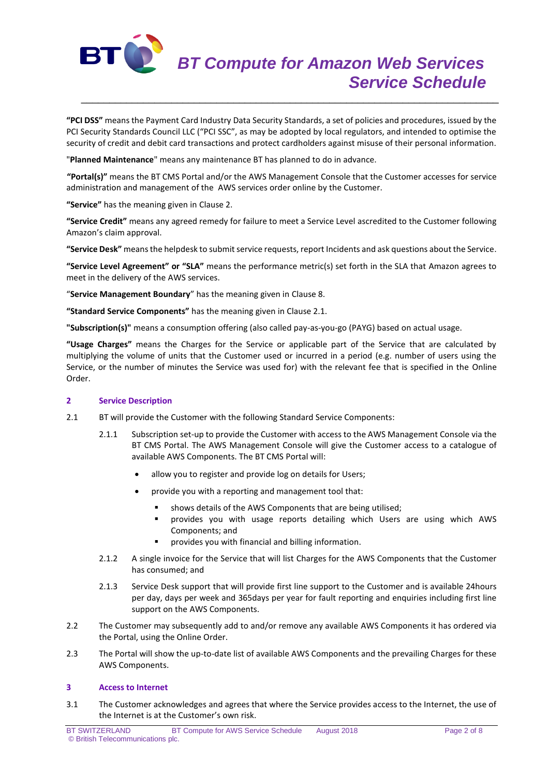

**"PCI DSS"** means the Payment Card Industry Data Security Standards, a set of policies and procedures, issued by the PCI Security Standards Council LLC ("PCI SSC", as may be adopted by local regulators, and intended to optimise the security of credit and debit card transactions and protect cardholders against misuse of their personal information.

\_\_\_\_\_\_\_\_\_\_\_\_\_\_\_\_\_\_\_\_\_\_\_\_\_\_\_\_\_\_\_\_\_\_\_\_\_\_\_\_\_\_\_\_\_\_\_\_\_\_\_\_\_\_\_\_\_\_\_\_\_\_\_\_\_\_\_\_\_\_\_\_\_\_

"**Planned Maintenance**" means any maintenance BT has planned to do in advance.

**"Portal(s)"** means the BT CMS Portal and/or the AWS Management Console that the Customer accesses for service administration and management of the AWS services order online by the Customer.

**"Service"** has the meaning given in Clause 2.

**"Service Credit"** means any agreed remedy for failure to meet a Service Level ascredited to the Customer following Amazon's claim approval.

**"Service Desk"** means the helpdesk to submit service requests, report Incidents and ask questions about the Service.

**"Service Level Agreement" or "SLA"** means the performance metric(s) set forth in the SLA that Amazon agrees to meet in the delivery of the AWS services.

"**Service Management Boundary**" has the meaning given in Clause 8.

**"Standard Service Components"** has the meaning given in Clause 2.1.

**"Subscription(s)"** means a consumption offering (also called pay-as-you-go (PAYG) based on actual usage.

**"Usage Charges"** means the Charges for the Service or applicable part of the Service that are calculated by multiplying the volume of units that the Customer used or incurred in a period (e.g. number of users using the Service, or the number of minutes the Service was used for) with the relevant fee that is specified in the Online Order.

## **2 Service Description**

- 2.1 BT will provide the Customer with the following Standard Service Components:
	- 2.1.1 Subscription set-up to provide the Customer with access to the AWS Management Console via the BT CMS Portal. The AWS Management Console will give the Customer access to a catalogue of available AWS Components. The BT CMS Portal will:
		- allow you to register and provide log on details for Users;
		- provide you with a reporting and management tool that:
			- shows details of the AWS Components that are being utilised;
			- provides you with usage reports detailing which Users are using which AWS Components; and
			- provides you with financial and billing information.
	- 2.1.2 A single invoice for the Service that will list Charges for the AWS Components that the Customer has consumed; and
	- 2.1.3 Service Desk support that will provide first line support to the Customer and is available 24hours per day, days per week and 365days per year for fault reporting and enquiries including first line support on the AWS Components.
- 2.2 The Customer may subsequently add to and/or remove any available AWS Components it has ordered via the Portal, using the Online Order.
- 2.3 The Portal will show the up-to-date list of available AWS Components and the prevailing Charges for these AWS Components.

## **3 Access to Internet**

3.1 The Customer acknowledges and agrees that where the Service provides access to the Internet, the use of the Internet is at the Customer's own risk.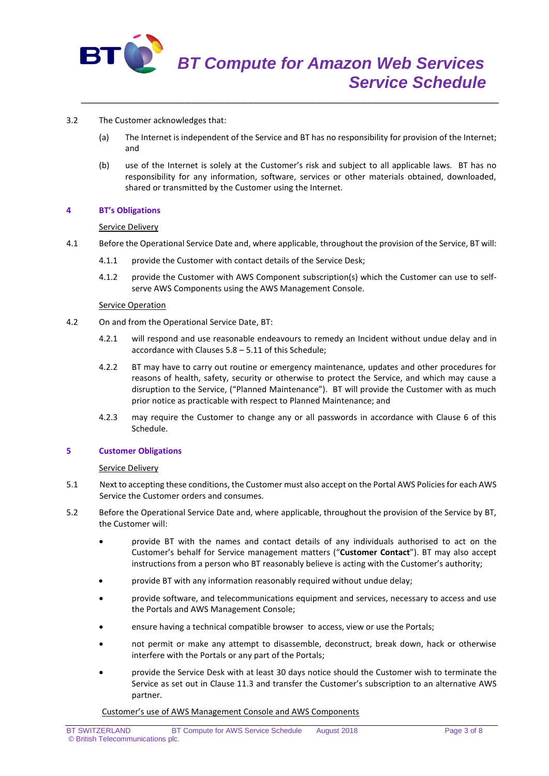

- 3.2 The Customer acknowledges that:
	- (a) The Internet is independent of the Service and BT has no responsibility for provision of the Internet; and

\_\_\_\_\_\_\_\_\_\_\_\_\_\_\_\_\_\_\_\_\_\_\_\_\_\_\_\_\_\_\_\_\_\_\_\_\_\_\_\_\_\_\_\_\_\_\_\_\_\_\_\_\_\_\_\_\_\_\_\_\_\_\_\_\_\_\_\_\_\_\_\_\_\_

(b) use of the Internet is solely at the Customer's risk and subject to all applicable laws. BT has no responsibility for any information, software, services or other materials obtained, downloaded, shared or transmitted by the Customer using the Internet.

#### **4 BT's Obligations**

#### Service Delivery

- 4.1 Before the Operational Service Date and, where applicable, throughout the provision of the Service, BT will:
	- 4.1.1 provide the Customer with contact details of the Service Desk;
	- 4.1.2 provide the Customer with AWS Component subscription(s) which the Customer can use to selfserve AWS Components using the AWS Management Console.

#### Service Operation

- 4.2 On and from the Operational Service Date, BT:
	- 4.2.1 will respond and use reasonable endeavours to remedy an Incident without undue delay and in accordance with Clauses 5.8 – 5.11 of this Schedule;
	- 4.2.2 BT may have to carry out routine or emergency maintenance, updates and other procedures for reasons of health, safety, security or otherwise to protect the Service, and which may cause a disruption to the Service, ("Planned Maintenance"). BT will provide the Customer with as much prior notice as practicable with respect to Planned Maintenance; and
	- 4.2.3 may require the Customer to change any or all passwords in accordance with Clause 6 of this Schedule.

## **5 Customer Obligations**

## Service Delivery

- 5.1 Next to accepting these conditions, the Customer must also accept on the Portal AWS Policiesfor each AWS Service the Customer orders and consumes.
- 5.2 Before the Operational Service Date and, where applicable, throughout the provision of the Service by BT, the Customer will:
	- provide BT with the names and contact details of any individuals authorised to act on the Customer's behalf for Service management matters ("**Customer Contact**"). BT may also accept instructions from a person who BT reasonably believe is acting with the Customer's authority;
	- provide BT with any information reasonably required without undue delay;
	- provide software, and telecommunications equipment and services, necessary to access and use the Portals and AWS Management Console;
	- ensure having a technical compatible browser to access, view or use the Portals;
	- not permit or make any attempt to disassemble, deconstruct, break down, hack or otherwise interfere with the Portals or any part of the Portals;
	- provide the Service Desk with at least 30 days notice should the Customer wish to terminate the Service as set out in Clause 11.3 and transfer the Customer's subscription to an alternative AWS partner.

Customer's use of AWS Management Console and AWS Components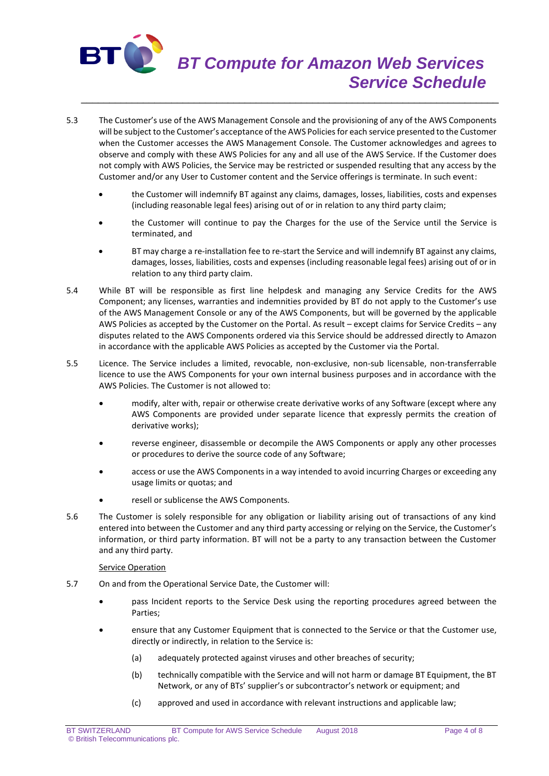

- 5.3 The Customer's use of the AWS Management Console and the provisioning of any of the AWS Components will be subject to the Customer's acceptance of the AWS Policies for each service presented to the Customer when the Customer accesses the AWS Management Console. The Customer acknowledges and agrees to observe and comply with these AWS Policies for any and all use of the AWS Service. If the Customer does not comply with AWS Policies, the Service may be restricted or suspended resulting that any access by the Customer and/or any User to Customer content and the Service offerings is terminate. In such event:
	- the Customer will indemnify BT against any claims, damages, losses, liabilities, costs and expenses (including reasonable legal fees) arising out of or in relation to any third party claim;
	- the Customer will continue to pay the Charges for the use of the Service until the Service is terminated, and
	- BT may charge a re-installation fee to re-start the Service and will indemnify BT against any claims, damages, losses, liabilities, costs and expenses (including reasonable legal fees) arising out of or in relation to any third party claim.
- 5.4 While BT will be responsible as first line helpdesk and managing any Service Credits for the AWS Component; any licenses, warranties and indemnities provided by BT do not apply to the Customer's use of the AWS Management Console or any of the AWS Components, but will be governed by the applicable AWS Policies as accepted by the Customer on the Portal. As result – except claims for Service Credits – any disputes related to the AWS Components ordered via this Service should be addressed directly to Amazon in accordance with the applicable AWS Policies as accepted by the Customer via the Portal.
- 5.5 Licence. The Service includes a limited, revocable, non-exclusive, non-sub licensable, non-transferrable licence to use the AWS Components for your own internal business purposes and in accordance with the AWS Policies. The Customer is not allowed to:
	- modify, alter with, repair or otherwise create derivative works of any Software (except where any AWS Components are provided under separate licence that expressly permits the creation of derivative works);
	- reverse engineer, disassemble or decompile the AWS Components or apply any other processes or procedures to derive the source code of any Software;
	- access or use the AWS Components in a way intended to avoid incurring Charges or exceeding any usage limits or quotas; and
	- resell or sublicense the AWS Components.
- 5.6 The Customer is solely responsible for any obligation or liability arising out of transactions of any kind entered into between the Customer and any third party accessing or relying on the Service, the Customer's information, or third party information. BT will not be a party to any transaction between the Customer and any third party.

## Service Operation

- 5.7 On and from the Operational Service Date, the Customer will:
	- pass Incident reports to the Service Desk using the reporting procedures agreed between the Parties;
	- ensure that any Customer Equipment that is connected to the Service or that the Customer use, directly or indirectly, in relation to the Service is:
		- (a) adequately protected against viruses and other breaches of security;
		- (b) technically compatible with the Service and will not harm or damage BT Equipment, the BT Network, or any of BTs' supplier's or subcontractor's network or equipment; and
		- (c) approved and used in accordance with relevant instructions and applicable law;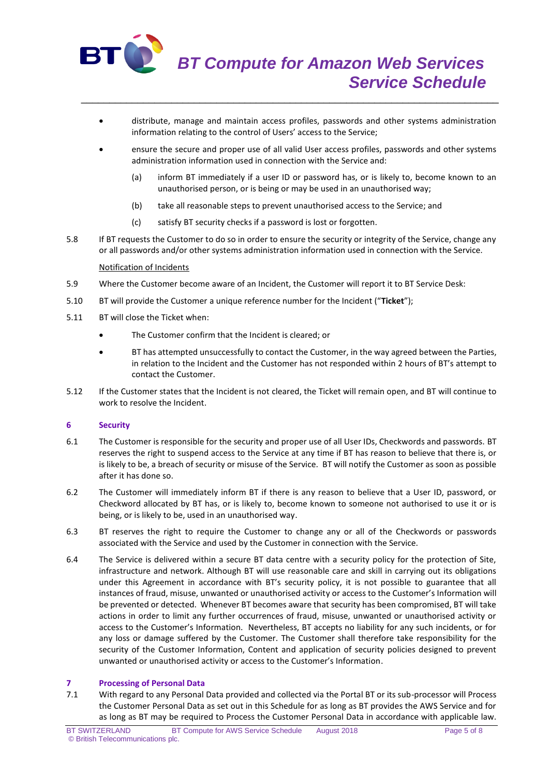

 distribute, manage and maintain access profiles, passwords and other systems administration information relating to the control of Users' access to the Service;

\_\_\_\_\_\_\_\_\_\_\_\_\_\_\_\_\_\_\_\_\_\_\_\_\_\_\_\_\_\_\_\_\_\_\_\_\_\_\_\_\_\_\_\_\_\_\_\_\_\_\_\_\_\_\_\_\_\_\_\_\_\_\_\_\_\_\_\_\_\_\_\_\_\_

- ensure the secure and proper use of all valid User access profiles, passwords and other systems administration information used in connection with the Service and:
	- (a) inform BT immediately if a user ID or password has, or is likely to, become known to an unauthorised person, or is being or may be used in an unauthorised way;
	- (b) take all reasonable steps to prevent unauthorised access to the Service; and
	- (c) satisfy BT security checks if a password is lost or forgotten.
- 5.8 If BT requests the Customer to do so in order to ensure the security or integrity of the Service, change any or all passwords and/or other systems administration information used in connection with the Service.

## Notification of Incidents

- 5.9 Where the Customer become aware of an Incident, the Customer will report it to BT Service Desk:
- 5.10 BT will provide the Customer a unique reference number for the Incident ("**Ticket**");
- 5.11 BT will close the Ticket when:
	- The Customer confirm that the Incident is cleared; or
	- BT has attempted unsuccessfully to contact the Customer, in the way agreed between the Parties, in relation to the Incident and the Customer has not responded within 2 hours of BT's attempt to contact the Customer.
- 5.12 If the Customer states that the Incident is not cleared, the Ticket will remain open, and BT will continue to work to resolve the Incident.

## **6 Security**

- 6.1 The Customer is responsible for the security and proper use of all User IDs, Checkwords and passwords. BT reserves the right to suspend access to the Service at any time if BT has reason to believe that there is, or is likely to be, a breach of security or misuse of the Service. BT will notify the Customer as soon as possible after it has done so.
- 6.2 The Customer will immediately inform BT if there is any reason to believe that a User ID, password, or Checkword allocated by BT has, or is likely to, become known to someone not authorised to use it or is being, or is likely to be, used in an unauthorised way.
- 6.3 BT reserves the right to require the Customer to change any or all of the Checkwords or passwords associated with the Service and used by the Customer in connection with the Service.
- 6.4 The Service is delivered within a secure BT data centre with a security policy for the protection of Site, infrastructure and network. Although BT will use reasonable care and skill in carrying out its obligations under this Agreement in accordance with BT's security policy, it is not possible to guarantee that all instances of fraud, misuse, unwanted or unauthorised activity or access to the Customer's Information will be prevented or detected. Whenever BT becomes aware that security has been compromised, BT will take actions in order to limit any further occurrences of fraud, misuse, unwanted or unauthorised activity or access to the Customer's Information. Nevertheless, BT accepts no liability for any such incidents, or for any loss or damage suffered by the Customer. The Customer shall therefore take responsibility for the security of the Customer Information, Content and application of security policies designed to prevent unwanted or unauthorised activity or access to the Customer's Information.

## **7 Processing of Personal Data**

7.1 With regard to any Personal Data provided and collected via the Portal BT or its sub-processor will Process the Customer Personal Data as set out in this Schedule for as long as BT provides the AWS Service and for as long as BT may be required to Process the Customer Personal Data in accordance with applicable law.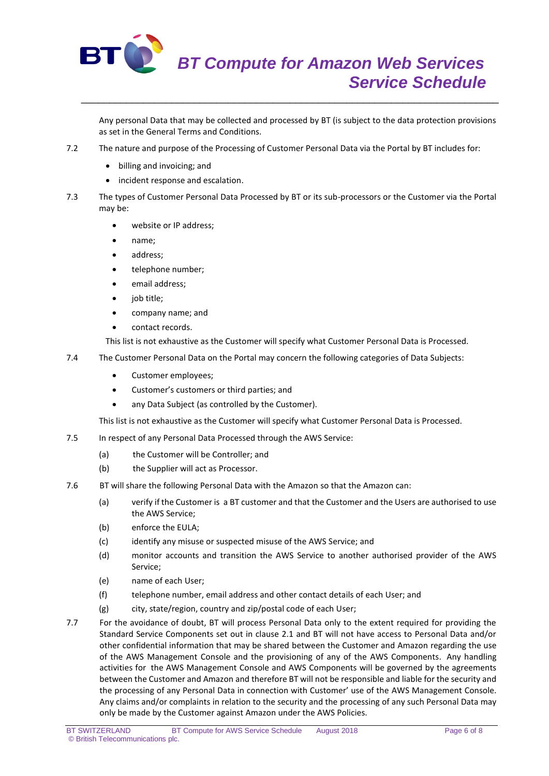

\_\_\_\_\_\_\_\_\_\_\_\_\_\_\_\_\_\_\_\_\_\_\_\_\_\_\_\_\_\_\_\_\_\_\_\_\_\_\_\_\_\_\_\_\_\_\_\_\_\_\_\_\_\_\_\_\_\_\_\_\_\_\_\_\_\_\_\_\_\_\_\_\_\_

Any personal Data that may be collected and processed by BT (is subject to the data protection provisions as set in the General Terms and Conditions.

- 7.2 The nature and purpose of the Processing of Customer Personal Data via the Portal by BT includes for:
	- billing and invoicing; and
	- incident response and escalation.
- 7.3 The types of Customer Personal Data Processed by BT or its sub-processors or the Customer via the Portal may be:
	- website or IP address;
	- name;
	- address;
	- telephone number;
	- email address;
	- job title;
	- company name; and
	- contact records.

This list is not exhaustive as the Customer will specify what Customer Personal Data is Processed.

- 7.4 The Customer Personal Data on the Portal may concern the following categories of Data Subjects:
	- Customer employees;
	- Customer's customers or third parties; and
	- any Data Subject (as controlled by the Customer).

This list is not exhaustive as the Customer will specify what Customer Personal Data is Processed.

- 7.5 In respect of any Personal Data Processed through the AWS Service:
	- (a) the Customer will be Controller; and
	- (b) the Supplier will act as Processor.
- 7.6 BT will share the following Personal Data with the Amazon so that the Amazon can:
	- (a) verify if the Customer is a BT customer and that the Customer and the Users are authorised to use the AWS Service;
	- (b) enforce the EULA;
	- (c) identify any misuse or suspected misuse of the AWS Service; and
	- (d) monitor accounts and transition the AWS Service to another authorised provider of the AWS Service;
	- (e) name of each User;
	- (f) telephone number, email address and other contact details of each User; and
	- (g) city, state/region, country and zip/postal code of each User;
- 7.7 For the avoidance of doubt, BT will process Personal Data only to the extent required for providing the Standard Service Components set out in clause 2.1 and BT will not have access to Personal Data and/or other confidential information that may be shared between the Customer and Amazon regarding the use of the AWS Management Console and the provisioning of any of the AWS Components. Any handling activities for the AWS Management Console and AWS Components will be governed by the agreements between the Customer and Amazon and therefore BT will not be responsible and liable for the security and the processing of any Personal Data in connection with Customer' use of the AWS Management Console. Any claims and/or complaints in relation to the security and the processing of any such Personal Data may only be made by the Customer against Amazon under the AWS Policies.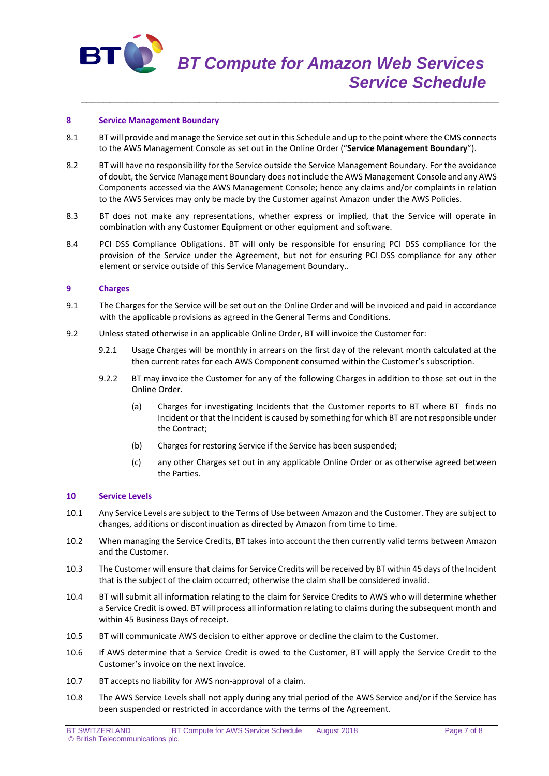

#### **8 Service Management Boundary**

8.1 BT will provide and manage the Service set out in this Schedule and up to the point where the CMS connects to the AWS Management Console as set out in the Online Order ("**Service Management Boundary**").

\_\_\_\_\_\_\_\_\_\_\_\_\_\_\_\_\_\_\_\_\_\_\_\_\_\_\_\_\_\_\_\_\_\_\_\_\_\_\_\_\_\_\_\_\_\_\_\_\_\_\_\_\_\_\_\_\_\_\_\_\_\_\_\_\_\_\_\_\_\_\_\_\_\_

- 8.2 BT will have no responsibility for the Service outside the Service Management Boundary. For the avoidance of doubt, the Service Management Boundary does not include the AWS Management Console and any AWS Components accessed via the AWS Management Console; hence any claims and/or complaints in relation to the AWS Services may only be made by the Customer against Amazon under the AWS Policies.
- 8.3 BT does not make any representations, whether express or implied, that the Service will operate in combination with any Customer Equipment or other equipment and software.
- 8.4 PCI DSS Compliance Obligations. BT will only be responsible for ensuring PCI DSS compliance for the provision of the Service under the Agreement, but not for ensuring PCI DSS compliance for any other element or service outside of this Service Management Boundary..

# **9 Charges**

- 9.1 The Charges for the Service will be set out on the Online Order and will be invoiced and paid in accordance with the applicable provisions as agreed in the General Terms and Conditions.
- 9.2 Unless stated otherwise in an applicable Online Order, BT will invoice the Customer for:
	- 9.2.1 Usage Charges will be monthly in arrears on the first day of the relevant month calculated at the then current rates for each AWS Component consumed within the Customer's subscription.
	- 9.2.2 BT may invoice the Customer for any of the following Charges in addition to those set out in the Online Order.
		- (a) Charges for investigating Incidents that the Customer reports to BT where BT finds no Incident or that the Incident is caused by something for which BT are not responsible under the Contract;
		- (b) Charges for restoring Service if the Service has been suspended;
		- (c) any other Charges set out in any applicable Online Order or as otherwise agreed between the Parties.

#### **10 Service Levels**

- 10.1 Any Service Levels are subject to the Terms of Use between Amazon and the Customer. They are subject to changes, additions or discontinuation as directed by Amazon from time to time.
- 10.2 When managing the Service Credits, BT takes into account the then currently valid terms between Amazon and the Customer.
- 10.3 The Customer will ensure that claims for Service Credits will be received by BT within 45 days of the Incident that is the subject of the claim occurred; otherwise the claim shall be considered invalid.
- 10.4 BT will submit all information relating to the claim for Service Credits to AWS who will determine whether a Service Credit is owed. BT will process all information relating to claims during the subsequent month and within 45 Business Days of receipt.
- 10.5 BT will communicate AWS decision to either approve or decline the claim to the Customer.
- 10.6 If AWS determine that a Service Credit is owed to the Customer, BT will apply the Service Credit to the Customer's invoice on the next invoice.
- 10.7 BT accepts no liability for AWS non-approval of a claim.
- 10.8 The AWS Service Levels shall not apply during any trial period of the AWS Service and/or if the Service has been suspended or restricted in accordance with the terms of the Agreement.